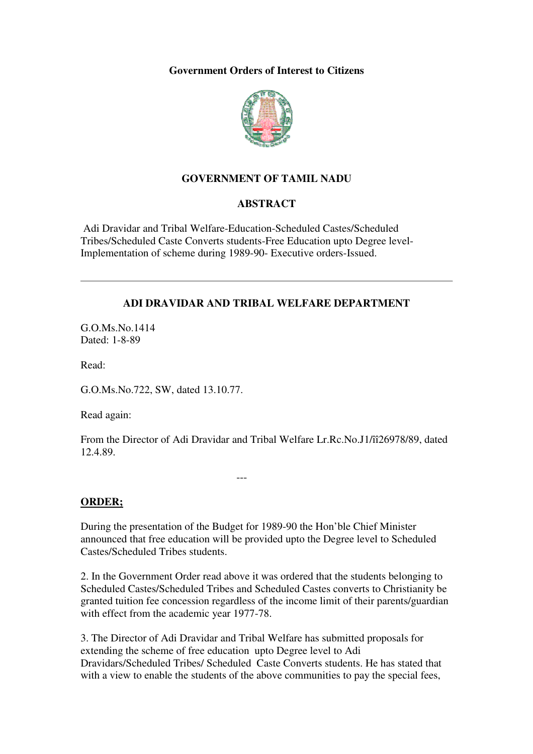**Government Orders of Interest to Citizens** 



## **GOVERNMENT OF TAMIL NADU**

## **ABSTRACT**

 Adi Dravidar and Tribal Welfare-Education-Scheduled Castes/Scheduled Tribes/Scheduled Caste Converts students-Free Education upto Degree level-Implementation of scheme during 1989-90- Executive orders-Issued.

## **ADI DRAVIDAR AND TRIBAL WELFARE DEPARTMENT**

G.O.Ms.No.1414 Dated: 1-8-89

Read:

G.O.Ms.No.722, SW, dated 13.10.77.

---

Read again:

From the Director of Adi Dravidar and Tribal Welfare Lr.Rc.No.J1/îî26978/89, dated 12.4.89.

**ORDER;**

During the presentation of the Budget for 1989-90 the Hon'ble Chief Minister announced that free education will be provided upto the Degree level to Scheduled Castes/Scheduled Tribes students.

2. In the Government Order read above it was ordered that the students belonging to Scheduled Castes/Scheduled Tribes and Scheduled Castes converts to Christianity be granted tuition fee concession regardless of the income limit of their parents/guardian with effect from the academic year 1977-78.

3. The Director of Adi Dravidar and Tribal Welfare has submitted proposals for extending the scheme of free education upto Degree level to Adi Dravidars/Scheduled Tribes/ Scheduled Caste Converts students. He has stated that with a view to enable the students of the above communities to pay the special fees,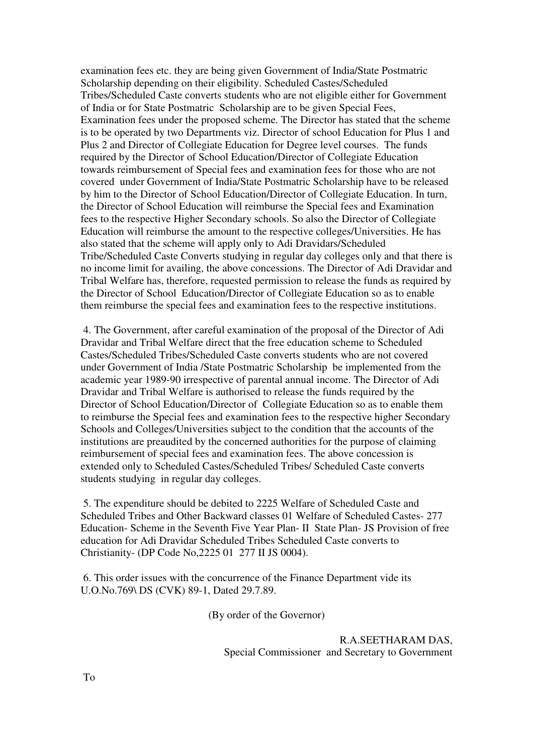examination fees etc. they are being given Government of India/State Postmatric Scholarship depending on their eligibility. Scheduled Castes/Scheduled Tribes/Scheduled Caste converts students who are not eligible either for Government of India or for State Postmatric Scholarship are to be given Special Fees, Examination fees under the proposed scheme. The Director has stated that the scheme is to be operated by two Departments viz. Director of school Education for Plus 1 and Plus 2 and Director of Collegiate Education for Degree level courses. The funds required by the Director of School Education/Director of Collegiate Education towards reimbursement of Special fees and examination fees for those who are not covered under Government of India/State Postmatric Scholarship have to be released by him to the Director of School Education/Director of Collegiate Education. In turn, the Director of School Education will reimburse the Special fees and Examination fees to the respective Higher Secondary schools. So also the Director of Collegiate Education will reimburse the amount to the respective colleges/Universities. He has also stated that the scheme will apply only to Adi Dravidars/Scheduled Tribe/Scheduled Caste Converts studying in regular day colleges only and that there is no income limit for availing, the above concessions. The Director of Adi Dravidar and Tribal Welfare has, therefore, requested permission to release the funds as required by the Director of School Education/Director of Collegiate Education so as to enable them reimburse the special fees and examination fees to the respective institutions.

 4. The Government, after careful examination of the proposal of the Director of Adi Dravidar and Tribal Welfare direct that the free education scheme to Scheduled Castes/Scheduled Tribes/Scheduled Caste converts students who are not covered under Government of India /State Postmatric Scholarship be implemented from the academic year 1989-90 irrespective of parental annual income. The Director of Adi Dravidar and Tribal Welfare is authorised to release the funds required by the Director of School Education/Director of Collegiate Education so as to enable them to reimburse the Special fees and examination fees to the respective higher Secondary Schools and Colleges/Universities subject to the condition that the accounts of the institutions are preaudited by the concerned authorities for the purpose of claiming reimbursement of special fees and examination fees. The above concession is extended only to Scheduled Castes/Scheduled Tribes/ Scheduled Caste converts students studying in regular day colleges.

 5. The expenditure should be debited to 2225 Welfare of Scheduled Caste and Scheduled Tribes and Other Backward classes 01 Welfare of Scheduled Castes- 277 Education- Scheme in the Seventh Five Year Plan- II State Plan- JS Provision of free education for Adi Dravidar Scheduled Tribes Scheduled Caste converts to Christianity- (DP Code No,2225 01 277 II JS 0004).

 6. This order issues with the concurrence of the Finance Department vide its U.O.No.769\ DS (CVK) 89-1, Dated 29.7.89.

(By order of the Governor)

 R.A.SEETHARAM DAS, Special Commissioner and Secretary to Government